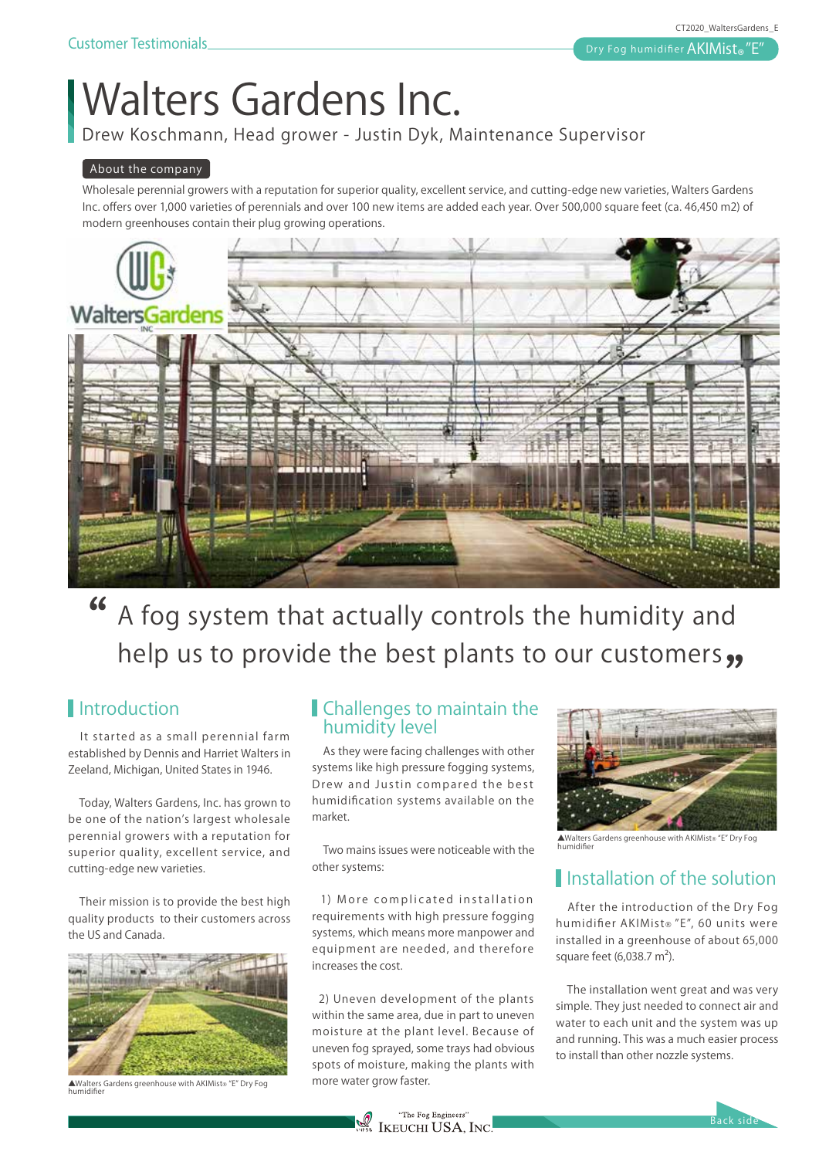# **Walters Gardens Inc.**

Drew Koschmann, Head grower - Justin Dyk, Maintenance Supervisor

#### **About the company**

Wholesale perennial growers with a reputation for superior quality, excellent service, and cutting-edge new varieties, Walters Gardens Inc. offers over 1,000 varieties of perennials and over 100 new items are added each year. Over 500,000 square feet (ca. 46,450 m2) of modern greenhouses contain their plug growing operations.



### **A fog system that actually controls the humidity and help us to provide the best plants to our customers** " **"**

#### **I**ntroduction

It started as a small perennial farm established by Dennis and Harriet Walters in Zeeland, Michigan, United States in 1946.

Today, Walters Gardens, Inc. has grown to be one of the nation's largest wholesale perennial growers with a reputation for superior quality, excellent service, and cutting-edge new varieties.

Their mission is to provide the best high quality products to their customers across the US and Canada.



▲Walters Gardens greenhouse with AKIMist®"E" Dry Fog humidifier

#### Challenges to maintain the humidity level

 As they were facing challenges with other systems like high pressure fogging systems, Drew and Justin compared the best humidification systems available on the market.

 Two mains issues were noticeable with the other systems:

 1) More complicated installation requirements with high pressure fogging systems, which means more manpower and equipment are needed, and therefore increases the cost.

 2) Uneven development of the plants within the same area, due in part to uneven moisture at the plant level. Because of uneven fog sprayed, some trays had obvious spots of moisture, making the plants with more water grow faster.



▲Walters Gardens greenhouse with AKIMist®"E" Dry Fog humidifier

#### **I**nstallation of the solution

 After the introduction of the Dry Fog humidifier AKIMist®"E", 60 units were installed in a greenhouse of about 65,000 square feet  $(6,038.7 \text{ m}^2)$ .

 The installation went great and was very simple. They just needed to connect air and water to each unit and the system was up and running. This was a much easier process to install than other nozzle systems.

Back side